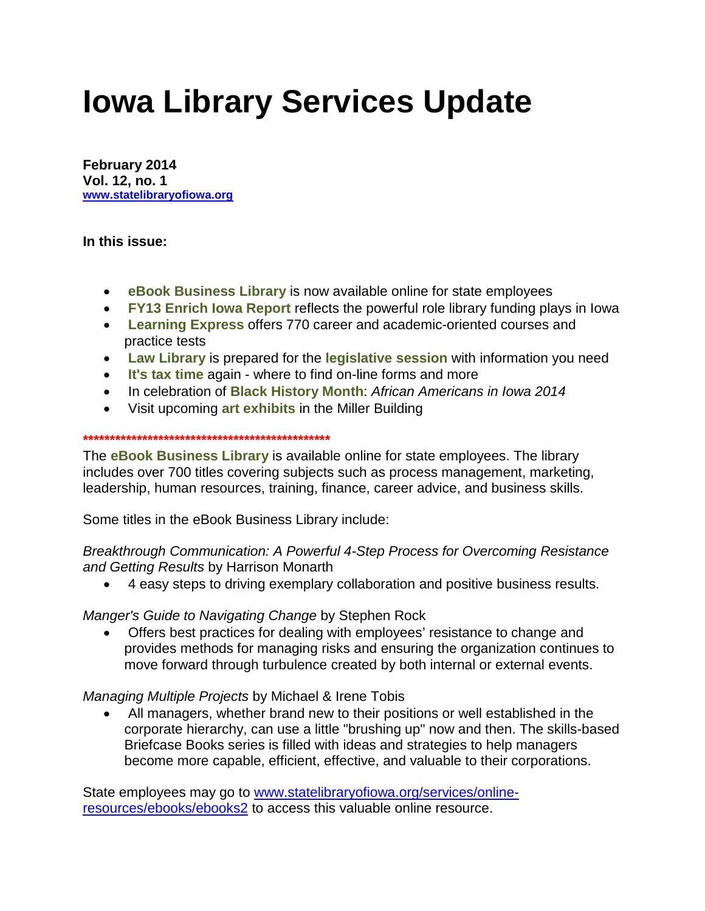# **Iowa Library Services Update**

**February 2014 Vol. 12, no. 1 [www.statelibraryofiowa.org](http://www.statelibraryofiowa.org/)**

**In this issue:**

- **eBook Business Library** is now available online for state employees
- **FY13 Enrich Iowa Report** reflects the powerful role library funding plays in Iowa
- **Learning Express** offers 770 career and academic-oriented courses and practice tests
- **Law Library** is prepared for the **legislative session** with information you need
- **It's tax time** again where to find on-line forms and more
- In celebration of **Black History Month**: *African Americans in Iowa 2014*
- Visit upcoming **art exhibits** in the Miller Building

#### **\*\*\*\*\*\*\*\*\*\*\*\*\*\*\*\*\*\*\*\*\*\*\*\*\*\*\*\*\*\*\*\*\*\*\*\*\*\*\*\*\*\*\*\*\*\***

The **eBook Business Library** is available online for state employees. The library includes over 700 titles covering subjects such as process management, marketing, leadership, human resources, training, finance, career advice, and business skills.

Some titles in the eBook Business Library include:

*Breakthrough Communication: A Powerful 4-Step Process for Overcoming Resistance and Getting Results* by Harrison Monarth

• 4 easy steps to driving exemplary collaboration and positive business results.

## *Manger's Guide to Navigating Change* by Stephen Rock

• Offers best practices for dealing with employees' resistance to change and provides methods for managing risks and ensuring the organization continues to move forward through turbulence created by both internal or external events.

## *Managing Multiple Projects* by Michael & Irene Tobis

• All managers, whether brand new to their positions or well established in the corporate hierarchy, can use a little "brushing up" now and then. The skills-based Briefcase Books series is filled with ideas and strategies to help managers become more capable, efficient, effective, and valuable to their corporations.

State employees may go to [www.statelibraryofiowa.org/services/online](http://www.statelibraryofiowa.org/services/online-resources/ebooks/ebooks2)[resources/ebooks/ebooks2](http://www.statelibraryofiowa.org/services/online-resources/ebooks/ebooks2) to access this valuable online resource.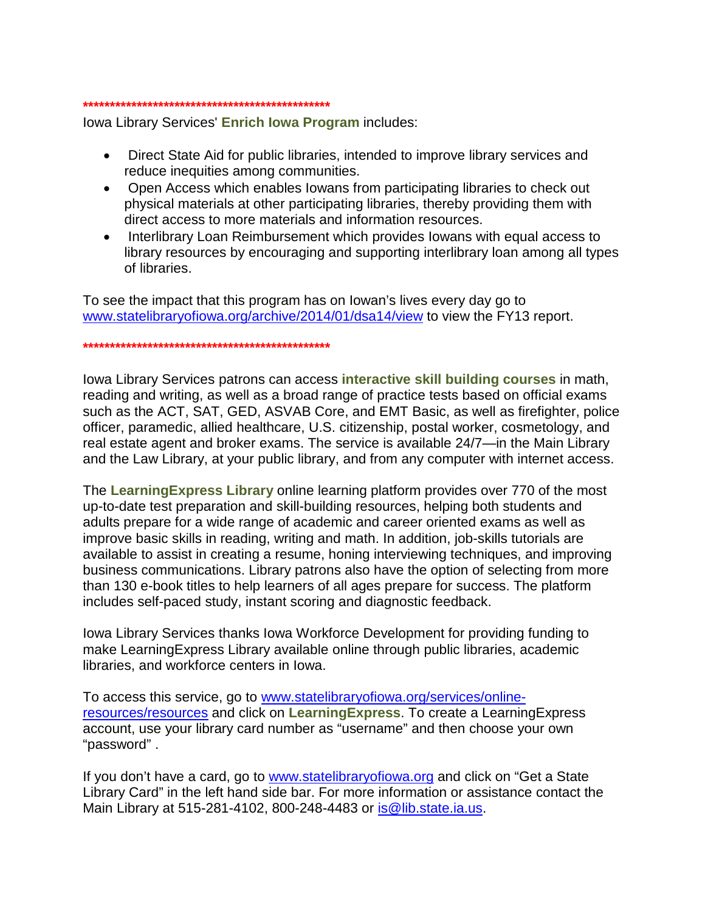**\*\*\*\*\*\*\*\*\*\*\*\*\*\*\*\*\*\*\*\*\*\*\*\*\*\*\*\*\*\*\*\*\*\*\*\*\*\*\*\*\*\*\*\*\*\***

Iowa Library Services' **Enrich Iowa Program** includes:

- Direct State Aid for public libraries, intended to improve library services and reduce inequities among communities.
- Open Access which enables Iowans from participating libraries to check out physical materials at other participating libraries, thereby providing them with direct access to more materials and information resources.
- Interlibrary Loan Reimbursement which provides Iowans with equal access to library resources by encouraging and supporting interlibrary loan among all types of libraries.

To see the impact that this program has on Iowan's lives every day go to [www.statelibraryofiowa.org/archive/2014/01/dsa14/view](http://www.statelibraryofiowa.org/archive/2014/01/dsa14/view) to view the FY13 report.

**\*\*\*\*\*\*\*\*\*\*\*\*\*\*\*\*\*\*\*\*\*\*\*\*\*\*\*\*\*\*\*\*\*\*\*\*\*\*\*\*\*\*\*\*\*\***

Iowa Library Services patrons can access **interactive skill building courses** in math, reading and writing, as well as a broad range of practice tests based on official exams such as the ACT, SAT, GED, ASVAB Core, and EMT Basic, as well as firefighter, police officer, paramedic, allied healthcare, U.S. citizenship, postal worker, cosmetology, and real estate agent and broker exams. The service is available 24/7—in the Main Library and the Law Library, at your public library, and from any computer with internet access.

The **LearningExpress Library** online learning platform provides over 770 of the most up-to-date test preparation and skill-building resources, helping both students and adults prepare for a wide range of academic and career oriented exams as well as improve basic skills in reading, writing and math. In addition, job-skills tutorials are available to assist in creating a resume, honing interviewing techniques, and improving business communications. Library patrons also have the option of selecting from more than 130 e-book titles to help learners of all ages prepare for success. The platform includes self-paced study, instant scoring and diagnostic feedback.

Iowa Library Services thanks Iowa Workforce Development for providing funding to make LearningExpress Library available online through public libraries, academic libraries, and workforce centers in Iowa.

To access this service, go to [www.statelibraryofiowa.org/services/online](http://www.statelibraryofiowa.org/services/online-resources/resources)[resources/resources](http://www.statelibraryofiowa.org/services/online-resources/resources) and click on **LearningExpress**. To create a LearningExpress account, use your library card number as "username" and then choose your own "password" .

If you don't have a card, go to [www.statelibraryofiowa.org](http://www.statelibraryofiowa.org/) and click on "Get a State Library Card" in the left hand side bar. For more information or assistance contact the Main Library at 515-281-4102, 800-248-4483 or [is@lib.state.ia.us.](mailto:is@lib.state.ia.us)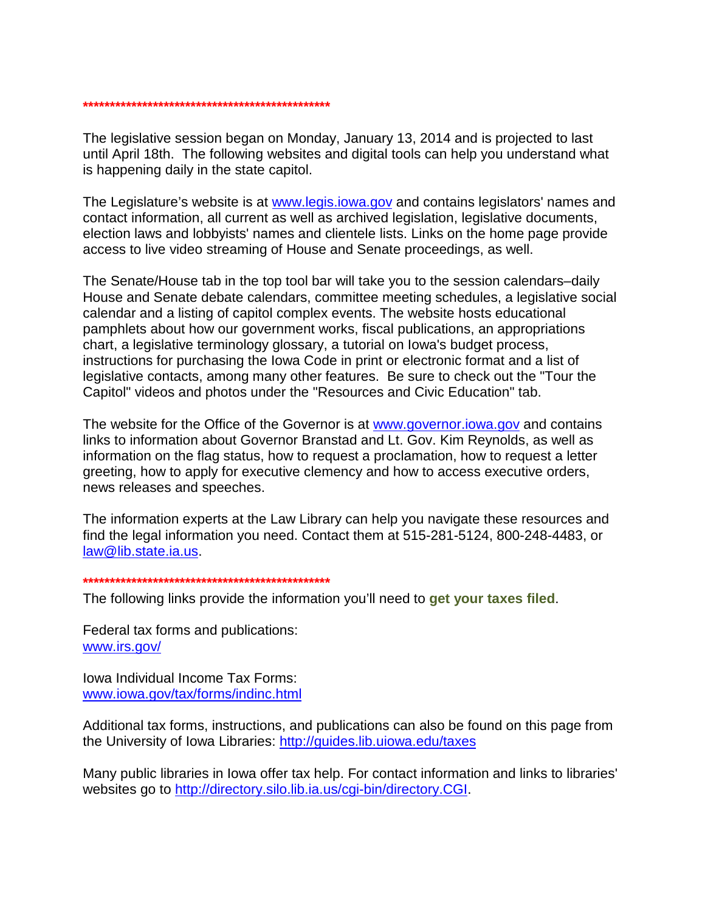**\*\*\*\*\*\*\*\*\*\*\*\*\*\*\*\*\*\*\*\*\*\*\*\*\*\*\*\*\*\*\*\*\*\*\*\*\*\*\*\*\*\*\*\*\*\***

The legislative session began on Monday, January 13, 2014 and is projected to last until April 18th. The following websites and digital tools can help you understand what is happening daily in the state capitol.

The Legislature's website is at [www.legis.iowa.gov](http://www.legis.iowa.gov/) and contains legislators' names and contact information, all current as well as archived legislation, legislative documents, election laws and lobbyists' names and clientele lists. Links on the home page provide access to live video streaming of House and Senate proceedings, as well.

The Senate/House tab in the top tool bar will take you to the session calendars–daily House and Senate debate calendars, committee meeting schedules, a legislative social calendar and a listing of capitol complex events. The website hosts educational pamphlets about how our government works, fiscal publications, an appropriations chart, a legislative terminology glossary, a tutorial on Iowa's budget process, instructions for purchasing the Iowa Code in print or electronic format and a list of legislative contacts, among many other features. Be sure to check out the "Tour the Capitol" videos and photos under the "Resources and Civic Education" tab.

The website for the Office of the Governor is at [www.governor.iowa.gov](http://www.governor.iowa.gov/) and contains links to information about Governor Branstad and Lt. Gov. Kim Reynolds, as well as information on the flag status, how to request a proclamation, how to request a letter greeting, how to apply for executive clemency and how to access executive orders, news releases and speeches.

The information experts at the Law Library can help you navigate these resources and find the legal information you need. Contact them at 515-281-5124, 800-248-4483, or [law@lib.state.ia.us.](mailto:law@lib.state.ia.us)

#### **\*\*\*\*\*\*\*\*\*\*\*\*\*\*\*\*\*\*\*\*\*\*\*\*\*\*\*\*\*\*\*\*\*\*\*\*\*\*\*\*\*\*\*\*\*\***

The following links provide the information you'll need to **get your taxes filed**.

Federal tax forms and publications: [www.irs.gov/](http://www.irs.gov/)

Iowa Individual Income Tax Forms: [www.iowa.gov/tax/forms/indinc.html](http://www.iowa.gov/tax/forms/indinc.html)

Additional tax forms, instructions, and publications can also be found on this page from the University of Iowa Libraries:<http://guides.lib.uiowa.edu/taxes>

Many public libraries in Iowa offer tax help. For contact information and links to libraries' websites go to [http://directory.silo.lib.ia.us/cgi-bin/directory.CGI.](http://directory.silo.lib.ia.us/cgi-bin/directory.CGI)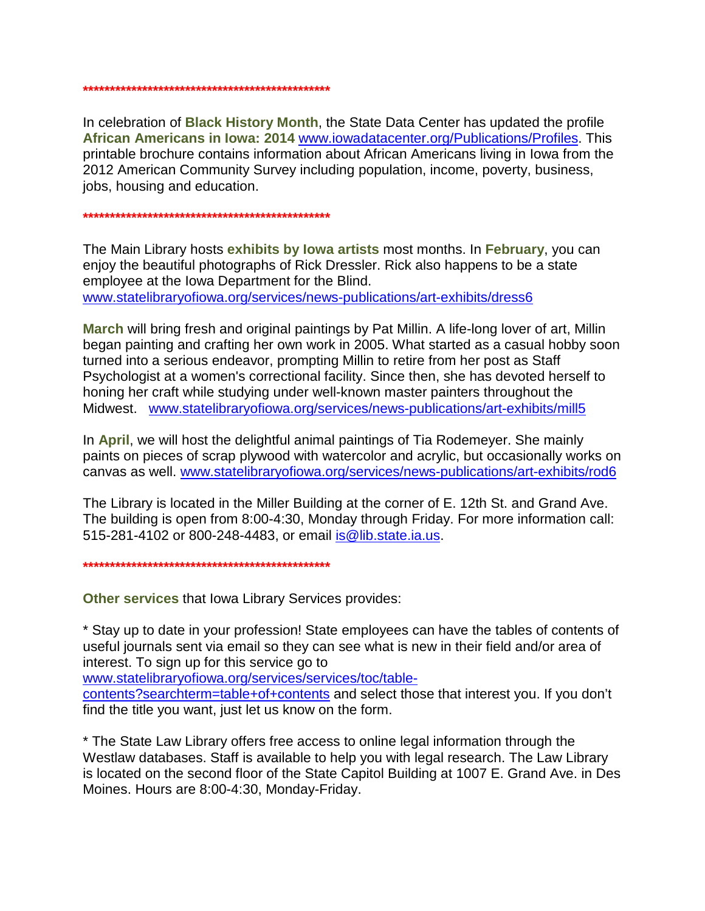**\*\*\*\*\*\*\*\*\*\*\*\*\*\*\*\*\*\*\*\*\*\*\*\*\*\*\*\*\*\*\*\*\*\*\*\*\*\*\*\*\*\*\*\*\*\***

In celebration of **Black History Month**, the State Data Center has updated the profile **African Americans in Iowa: 2014** [www.iowadatacenter.org/Publications/Profiles.](http://www.iowadatacenter.org/Publications/Profiles) This printable brochure contains information about African Americans living in Iowa from the 2012 American Community Survey including population, income, poverty, business, jobs, housing and education.

**\*\*\*\*\*\*\*\*\*\*\*\*\*\*\*\*\*\*\*\*\*\*\*\*\*\*\*\*\*\*\*\*\*\*\*\*\*\*\*\*\*\*\*\*\*\***

The Main Library hosts **exhibits by Iowa artists** most months. In **February**, you can enjoy the beautiful photographs of Rick Dressler. Rick also happens to be a state employee at the Iowa Department for the Blind. [www.statelibraryofiowa.org/services/news-publications/art-exhibits/dress6](http://www.statelibraryofiowa.org/services/news-publications/art-exhibits/dress6)

**March** will bring fresh and original paintings by Pat Millin. A life-long lover of art, Millin began painting and crafting her own work in 2005. What started as a casual hobby soon turned into a serious endeavor, prompting Millin to retire from her post as Staff Psychologist at a women's correctional facility. Since then, she has devoted herself to honing her craft while studying under well-known master painters throughout the Midwest. [www.statelibraryofiowa.org/services/news-publications/art-exhibits/mill5](http://www.statelibraryofiowa.org/services/news-publications/art-exhibits/mill5)

In **April**, we will host the delightful animal paintings of Tia Rodemeyer. She mainly paints on pieces of scrap plywood with watercolor and acrylic, but occasionally works on canvas as well. [www.statelibraryofiowa.org/services/news-publications/art-exhibits/rod6](http://www.statelibraryofiowa.org/services/news-publications/art-exhibits/rod6)

The Library is located in the Miller Building at the corner of E. 12th St. and Grand Ave. The building is open from 8:00-4:30, Monday through Friday. For more information call: 515-281-4102 or 800-248-4483, or email [is@lib.state.ia.us.](mailto:is@lib.state.ia.us)

**\*\*\*\*\*\*\*\*\*\*\*\*\*\*\*\*\*\*\*\*\*\*\*\*\*\*\*\*\*\*\*\*\*\*\*\*\*\*\*\*\*\*\*\*\*\***

**Other services** that Iowa Library Services provides:

\* Stay up to date in your profession! State employees can have the tables of contents of useful journals sent via email so they can see what is new in their field and/or area of interest. To sign up for this service go to

[www.statelibraryofiowa.org/services/services/toc/table-](http://www.statelibraryofiowa.org/services/services/toc/table-contents?searchterm=table+of+contents)

[contents?searchterm=table+of+contents](http://www.statelibraryofiowa.org/services/services/toc/table-contents?searchterm=table+of+contents) and select those that interest you. If you don't find the title you want, just let us know on the form.

\* The State Law Library offers free access to online legal information through the Westlaw databases. Staff is available to help you with legal research. The Law Library is located on the second floor of the State Capitol Building at 1007 E. Grand Ave. in Des Moines. Hours are 8:00-4:30, Monday-Friday.